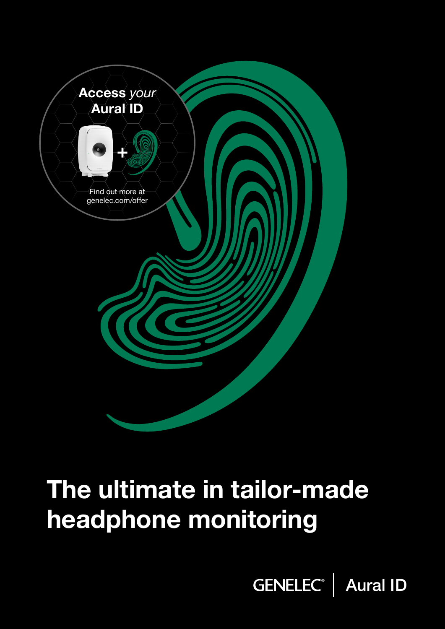

# The ultimate in tailor-made headphone monitoring

GENELEC<sup>®</sup> | Aural ID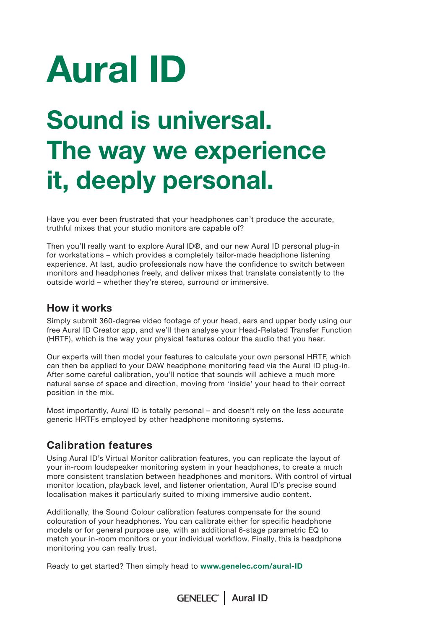# Aural ID

# Sound is universal. The way we experience it, deeply personal.

Have you ever been frustrated that your headphones can't produce the accurate, truthful mixes that your studio monitors are capable of?

Then you'll really want to explore Aural ID®, and our new Aural ID personal plug-in for workstations – which provides a completely tailor-made headphone listening experience. At last, audio professionals now have the confidence to switch between monitors and headphones freely, and deliver mixes that translate consistently to the outside world – whether they're stereo, surround or immersive.

### How it works

Simply submit 360-degree video footage of your head, ears and upper body using our free Aural ID Creator app, and we'll then analyse your Head-Related Transfer Function (HRTF), which is the way your physical features colour the audio that you hear.

Our experts will then model your features to calculate your own personal HRTF, which can then be applied to your DAW headphone monitoring feed via the Aural ID plug-in. After some careful calibration, you'll notice that sounds will achieve a much more natural sense of space and direction, moving from 'inside' your head to their correct position in the mix.

Most importantly, Aural ID is totally personal – and doesn't rely on the less accurate generic HRTFs employed by other headphone monitoring systems.

### Calibration features

Using Aural ID's Virtual Monitor calibration features, you can replicate the layout of your in-room loudspeaker monitoring system in your headphones, to create a much more consistent translation between headphones and monitors. With control of virtual monitor location, playback level, and listener orientation, Aural ID's precise sound localisation makes it particularly suited to mixing immersive audio content.

Additionally, the Sound Colour calibration features compensate for the sound colouration of your headphones. You can calibrate either for specific headphone models or for general purpose use, with an additional 6-stage parametric EQ to match your in-room monitors or your individual workflow. Finally, this is headphone monitoring you can really trust.

Ready to get started? Then simply head to www.genelec.com/aural-ID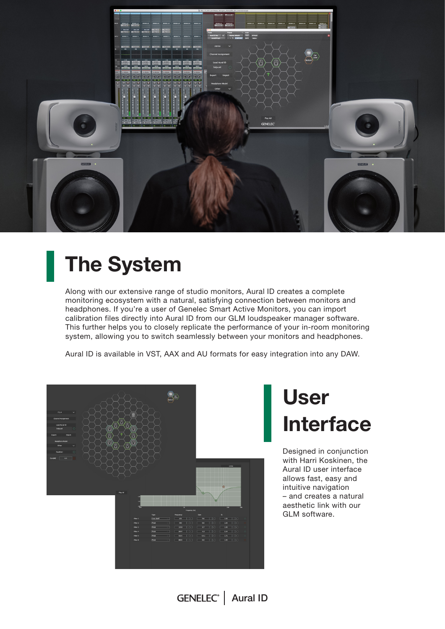

## The System

Along with our extensive range of studio monitors, Aural ID creates a complete monitoring ecosystem with a natural, satisfying connection between monitors and headphones. If you're a user of Genelec Smart Active Monitors, you can import calibration files directly into Aural ID from our GLM loudspeaker manager software. This further helps you to closely replicate the performance of your in-room monitoring system, allowing you to switch seamlessly between your monitors and headphones.

Aural ID is available in VST, AAX and AU formats for easy integration into any DAW.



## User Interface

Designed in conjunction with Harri Koskinen, the Aural ID user interface allows fast, easy and intuitive navigation – and creates a natural aesthetic link with our GLM software.

GENELEC<sup>®</sup> | Aural ID